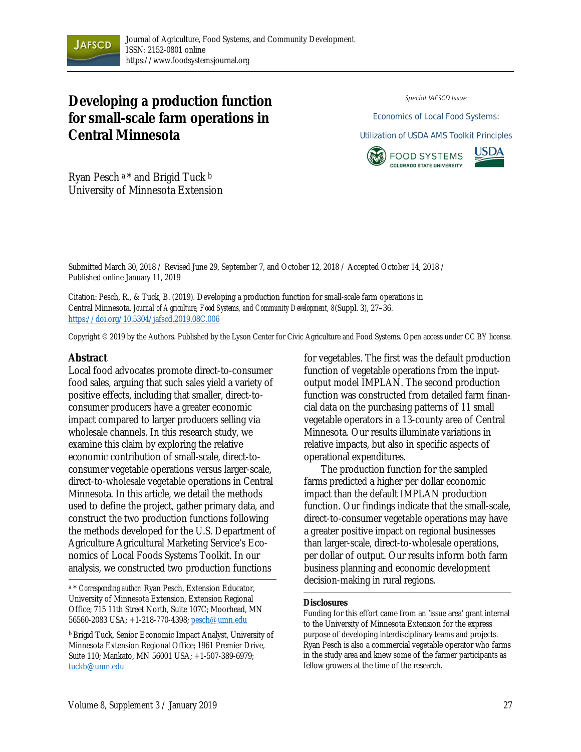

# **Developing a production function for small-scale farm operations in Central Minnesota**

*Special JAFSCD Issue*

Economics of Local Food Systems:

Utilization of USDA AMS Toolkit Principles





Ryan Pesch a \* and Brigid Tuck b University of Minnesota Extension

Submitted March 30, 2018 / Revised June 29, September 7, and October 12, 2018 / Accepted October 14, 2018 / Published online January 11, 2019

Citation: Pesch, R., & Tuck, B. (2019). Developing a production function for small-scale farm operations in Central Minnesota. *Journal of Agriculture, Food Systems, and Community Development, 8*(Suppl. 3), 27–36. https://doi.org/10.5304/jafscd.2019.08C.006

Copyright © 2019 by the Authors. Published by the Lyson Center for Civic Agriculture and Food Systems. Open access under CC BY license.

#### **Abstract**

Local food advocates promote direct-to-consumer food sales, arguing that such sales yield a variety of positive effects, including that smaller, direct-toconsumer producers have a greater economic impact compared to larger producers selling via wholesale channels. In this research study, we examine this claim by exploring the relative economic contribution of small-scale, direct-toconsumer vegetable operations versus larger-scale, direct-to-wholesale vegetable operations in Central Minnesota. In this article, we detail the methods used to define the project, gather primary data, and construct the two production functions following the methods developed for the U.S. Department of Agriculture Agricultural Marketing Service's Economics of Local Foods Systems Toolkit. In our analysis, we constructed two production functions

a \* *Corresponding author:* Ryan Pesch, Extension Educator, University of Minnesota Extension, Extension Regional Office; 715 11th Street North, Suite 107C; Moorhead, MN 56560-2083 USA; +1-218-770-4398; pesch@umn.edu

for vegetables. The first was the default production function of vegetable operations from the inputoutput model IMPLAN. The second production function was constructed from detailed farm financial data on the purchasing patterns of 11 small vegetable operators in a 13-county area of Central Minnesota. Our results illuminate variations in relative impacts, but also in specific aspects of operational expenditures.

 The production function for the sampled farms predicted a higher per dollar economic impact than the default IMPLAN production function. Our findings indicate that the small-scale, direct-to-consumer vegetable operations may have a greater positive impact on regional businesses than larger-scale, direct-to-wholesale operations, per dollar of output. Our results inform both farm business planning and economic development decision-making in rural regions.

#### **Disclosures**

Funding for this effort came from an 'issue area' grant internal to the University of Minnesota Extension for the express purpose of developing interdisciplinary teams and projects. Ryan Pesch is also a commercial vegetable operator who farms in the study area and knew some of the farmer participants as fellow growers at the time of the research.

<sup>b</sup> Brigid Tuck, Senior Economic Impact Analyst, University of Minnesota Extension Regional Office; 1961 Premier Drive, Suite 110; Mankato, MN 56001 USA; +1-507-389-6979; tuckb@umn.edu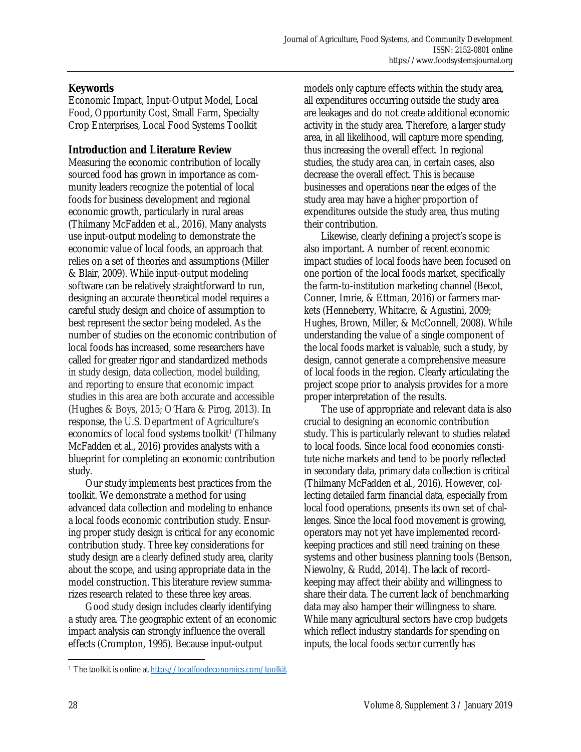# **Keywords**

Economic Impact, Input-Output Model, Local Food, Opportunity Cost, Small Farm, Specialty Crop Enterprises, Local Food Systems Toolkit

## **Introduction and Literature Review**

Measuring the economic contribution of locally sourced food has grown in importance as community leaders recognize the potential of local foods for business development and regional economic growth, particularly in rural areas (Thilmany McFadden et al., 2016). Many analysts use input-output modeling to demonstrate the economic value of local foods, an approach that relies on a set of theories and assumptions (Miller & Blair, 2009). While input-output modeling software can be relatively straightforward to run, designing an accurate theoretical model requires a careful study design and choice of assumption to best represent the sector being modeled. As the number of studies on the economic contribution of local foods has increased, some researchers have called for greater rigor and standardized methods in study design, data collection, model building, and reporting to ensure that economic impact studies in this area are both accurate and accessible (Hughes & Boys, 2015; O'Hara & Pirog, 2013). In response, the U.S. Department of Agriculture's economics of local food systems toolkit<sup>1</sup> (Thilmany McFadden et al., 2016) provides analysts with a blueprint for completing an economic contribution study.

 Our study implements best practices from the toolkit. We demonstrate a method for using advanced data collection and modeling to enhance a local foods economic contribution study. Ensuring proper study design is critical for any economic contribution study. Three key considerations for study design are a clearly defined study area, clarity about the scope, and using appropriate data in the model construction. This literature review summarizes research related to these three key areas.

 Good study design includes clearly identifying a study area. The geographic extent of an economic impact analysis can strongly influence the overall effects (Crompton, 1995). Because input-output

models only capture effects within the study area, all expenditures occurring outside the study area are leakages and do not create additional economic activity in the study area. Therefore, a larger study area, in all likelihood, will capture more spending, thus increasing the overall effect. In regional studies, the study area can, in certain cases, also decrease the overall effect. This is because businesses and operations near the edges of the study area may have a higher proportion of expenditures outside the study area, thus muting their contribution.

 Likewise, clearly defining a project's scope is also important. A number of recent economic impact studies of local foods have been focused on one portion of the local foods market, specifically the farm-to-institution marketing channel (Becot, Conner, Imrie, & Ettman, 2016) or farmers markets (Henneberry, Whitacre, & Agustini, 2009; Hughes, Brown, Miller, & McConnell, 2008). While understanding the value of a single component of the local foods market is valuable, such a study, by design, cannot generate a comprehensive measure of local foods in the region. Clearly articulating the project scope prior to analysis provides for a more proper interpretation of the results.

The use of appropriate and relevant data is also crucial to designing an economic contribution study. This is particularly relevant to studies related to local foods. Since local food economies constitute niche markets and tend to be poorly reflected in secondary data, primary data collection is critical (Thilmany McFadden et al., 2016). However, collecting detailed farm financial data, especially from local food operations, presents its own set of challenges. Since the local food movement is growing, operators may not yet have implemented recordkeeping practices and still need training on these systems and other business planning tools (Benson, Niewolny, & Rudd, 2014). The lack of recordkeeping may affect their ability and willingness to share their data. The current lack of benchmarking data may also hamper their willingness to share. While many agricultural sectors have crop budgets which reflect industry standards for spending on inputs, the local foods sector currently has

 $\overline{a}$ 

<sup>1</sup> The toolkit is online at https://localfoodeconomics.com/toolkit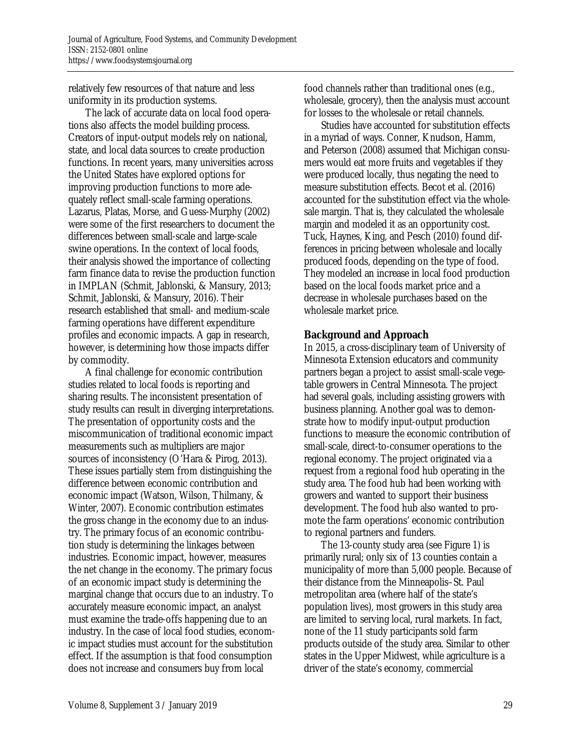relatively few resources of that nature and less uniformity in its production systems.

 The lack of accurate data on local food operations also affects the model building process. Creators of input-output models rely on national, state, and local data sources to create production functions. In recent years, many universities across the United States have explored options for improving production functions to more adequately reflect small-scale farming operations. Lazarus, Platas, Morse, and Guess-Murphy (2002) were some of the first researchers to document the differences between small-scale and large-scale swine operations. In the context of local foods, their analysis showed the importance of collecting farm finance data to revise the production function in IMPLAN (Schmit, Jablonski, & Mansury, 2013; Schmit, Jablonski, & Mansury, 2016). Their research established that small- and medium-scale farming operations have different expenditure profiles and economic impacts. A gap in research, however, is determining how those impacts differ by commodity.

 A final challenge for economic contribution studies related to local foods is reporting and sharing results. The inconsistent presentation of study results can result in diverging interpretations. The presentation of opportunity costs and the miscommunication of traditional economic impact measurements such as multipliers are major sources of inconsistency (O'Hara & Pirog, 2013). These issues partially stem from distinguishing the difference between economic contribution and economic impact (Watson, Wilson, Thilmany, & Winter, 2007). Economic contribution estimates the gross change in the economy due to an industry. The primary focus of an economic contribution study is determining the linkages between industries. Economic impact, however, measures the net change in the economy. The primary focus of an economic impact study is determining the marginal change that occurs due to an industry. To accurately measure economic impact, an analyst must examine the trade-offs happening due to an industry. In the case of local food studies, economic impact studies must account for the substitution effect. If the assumption is that food consumption does not increase and consumers buy from local

food channels rather than traditional ones (e.g., wholesale, grocery), then the analysis must account for losses to the wholesale or retail channels.

 Studies have accounted for substitution effects in a myriad of ways. Conner, Knudson, Hamm, and Peterson (2008) assumed that Michigan consumers would eat more fruits and vegetables if they were produced locally, thus negating the need to measure substitution effects. Becot et al. (2016) accounted for the substitution effect via the wholesale margin. That is, they calculated the wholesale margin and modeled it as an opportunity cost. Tuck, Haynes, King, and Pesch (2010) found differences in pricing between wholesale and locally produced foods, depending on the type of food. They modeled an increase in local food production based on the local foods market price and a decrease in wholesale purchases based on the wholesale market price.

## **Background and Approach**

In 2015, a cross-disciplinary team of University of Minnesota Extension educators and community partners began a project to assist small-scale vegetable growers in Central Minnesota. The project had several goals, including assisting growers with business planning. Another goal was to demonstrate how to modify input-output production functions to measure the economic contribution of small-scale, direct-to-consumer operations to the regional economy. The project originated via a request from a regional food hub operating in the study area. The food hub had been working with growers and wanted to support their business development. The food hub also wanted to promote the farm operations' economic contribution to regional partners and funders.

 The 13-county study area (see Figure 1) is primarily rural; only six of 13 counties contain a municipality of more than 5,000 people. Because of their distance from the Minneapolis–St. Paul metropolitan area (where half of the state's population lives), most growers in this study area are limited to serving local, rural markets. In fact, none of the 11 study participants sold farm products outside of the study area. Similar to other states in the Upper Midwest, while agriculture is a driver of the state's economy, commercial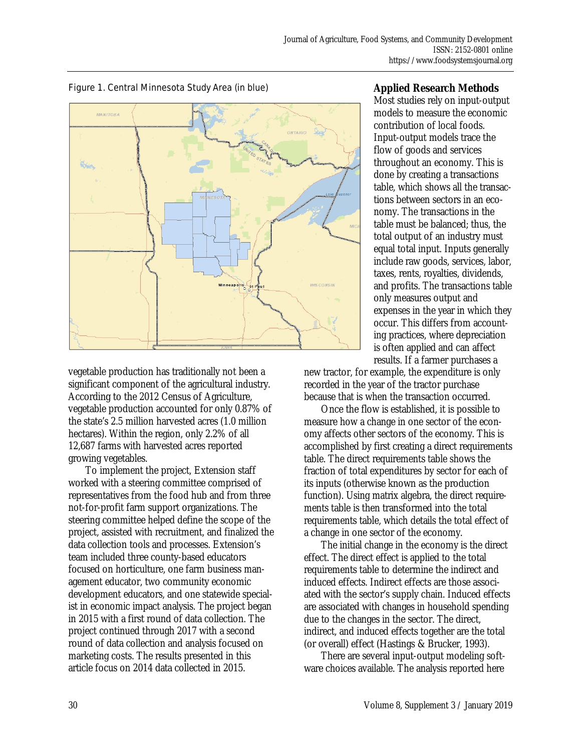

Figure 1. Central Minnesota Study Area (in blue)

vegetable production has traditionally not been a significant component of the agricultural industry. According to the 2012 Census of Agriculture, vegetable production accounted for only 0.87% of the state's 2.5 million harvested acres (1.0 million hectares). Within the region, only 2.2% of all 12,687 farms with harvested acres reported growing vegetables.

 To implement the project, Extension staff worked with a steering committee comprised of representatives from the food hub and from three not-for-profit farm support organizations. The steering committee helped define the scope of the project, assisted with recruitment, and finalized the data collection tools and processes. Extension's team included three county-based educators focused on horticulture, one farm business management educator, two community economic development educators, and one statewide specialist in economic impact analysis. The project began in 2015 with a first round of data collection. The project continued through 2017 with a second round of data collection and analysis focused on marketing costs. The results presented in this article focus on 2014 data collected in 2015.

# **Applied Research Methods**

Most studies rely on input-output models to measure the economic contribution of local foods. Input-output models trace the flow of goods and services throughout an economy. This is done by creating a transactions table, which shows all the transactions between sectors in an economy. The transactions in the table must be balanced; thus, the total output of an industry must equal total input. Inputs generally include raw goods, services, labor, taxes, rents, royalties, dividends, and profits. The transactions table only measures output and expenses in the year in which they occur. This differs from accounting practices, where depreciation is often applied and can affect results. If a farmer purchases a

new tractor, for example, the expenditure is only recorded in the year of the tractor purchase because that is when the transaction occurred.

 Once the flow is established, it is possible to measure how a change in one sector of the economy affects other sectors of the economy. This is accomplished by first creating a direct requirements table. The direct requirements table shows the fraction of total expenditures by sector for each of its inputs (otherwise known as the production function). Using matrix algebra, the direct requirements table is then transformed into the total requirements table, which details the total effect of a change in one sector of the economy.

 The initial change in the economy is the direct effect. The direct effect is applied to the total requirements table to determine the indirect and induced effects. Indirect effects are those associated with the sector's supply chain. Induced effects are associated with changes in household spending due to the changes in the sector. The direct, indirect, and induced effects together are the total (or overall) effect (Hastings & Brucker, 1993).

 There are several input-output modeling software choices available. The analysis reported here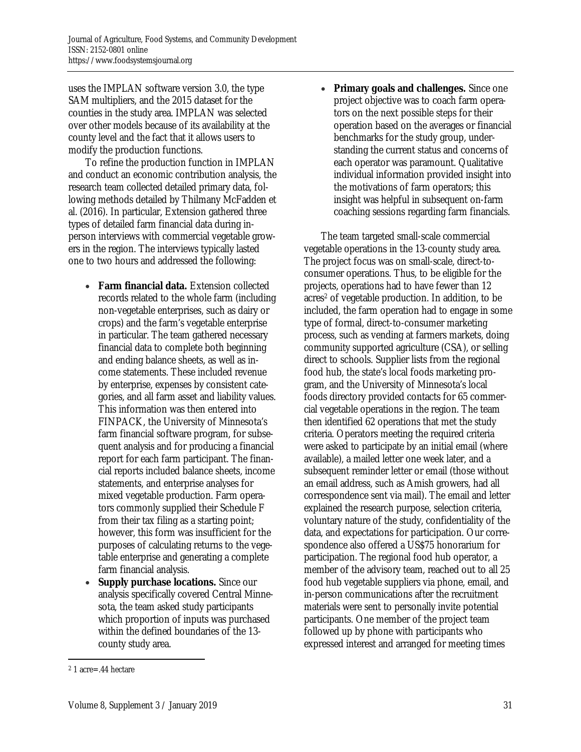uses the IMPLAN software version 3.0, the type SAM multipliers, and the 2015 dataset for the counties in the study area. IMPLAN was selected over other models because of its availability at the county level and the fact that it allows users to modify the production functions.

 To refine the production function in IMPLAN and conduct an economic contribution analysis, the research team collected detailed primary data, following methods detailed by Thilmany McFadden et al. (2016). In particular, Extension gathered three types of detailed farm financial data during inperson interviews with commercial vegetable growers in the region. The interviews typically lasted one to two hours and addressed the following:

- **Farm financial data.** Extension collected records related to the whole farm (including non-vegetable enterprises, such as dairy or crops) and the farm's vegetable enterprise in particular. The team gathered necessary financial data to complete both beginning and ending balance sheets, as well as income statements. These included revenue by enterprise, expenses by consistent categories, and all farm asset and liability values. This information was then entered into FINPACK, the University of Minnesota's farm financial software program, for subsequent analysis and for producing a financial report for each farm participant. The financial reports included balance sheets, income statements, and enterprise analyses for mixed vegetable production. Farm operators commonly supplied their Schedule F from their tax filing as a starting point; however, this form was insufficient for the purposes of calculating returns to the vegetable enterprise and generating a complete farm financial analysis.
- **Supply purchase locations.** Since our analysis specifically covered Central Minnesota, the team asked study participants which proportion of inputs was purchased within the defined boundaries of the 13 county study area.

• **Primary goals and challenges.** Since one project objective was to coach farm operators on the next possible steps for their operation based on the averages or financial benchmarks for the study group, understanding the current status and concerns of each operator was paramount. Qualitative individual information provided insight into the motivations of farm operators; this insight was helpful in subsequent on-farm coaching sessions regarding farm financials.

 The team targeted small-scale commercial vegetable operations in the 13-county study area. The project focus was on small-scale, direct-toconsumer operations. Thus, to be eligible for the projects, operations had to have fewer than 12 acres<sup>2</sup> of vegetable production. In addition, to be included, the farm operation had to engage in some type of formal, direct-to-consumer marketing process, such as vending at farmers markets, doing community supported agriculture (CSA), or selling direct to schools. Supplier lists from the regional food hub, the state's local foods marketing program, and the University of Minnesota's local foods directory provided contacts for 65 commercial vegetable operations in the region. The team then identified 62 operations that met the study criteria. Operators meeting the required criteria were asked to participate by an initial email (where available), a mailed letter one week later, and a subsequent reminder letter or email (those without an email address, such as Amish growers, had all correspondence sent via mail). The email and letter explained the research purpose, selection criteria, voluntary nature of the study, confidentiality of the data, and expectations for participation. Our correspondence also offered a US\$75 honorarium for participation. The regional food hub operator, a member of the advisory team, reached out to all 25 food hub vegetable suppliers via phone, email, and in-person communications after the recruitment materials were sent to personally invite potential participants. One member of the project team followed up by phone with participants who expressed interest and arranged for meeting times

 $\overline{a}$ 2 1 acre=.44 hectare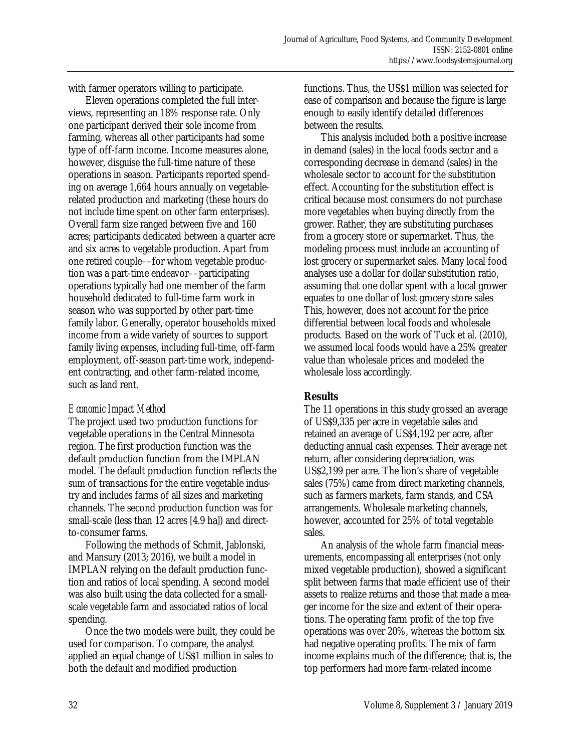with farmer operators willing to participate.

 Eleven operations completed the full interviews, representing an 18% response rate. Only one participant derived their sole income from farming, whereas all other participants had some type of off-farm income. Income measures alone, however, disguise the full-time nature of these operations in season. Participants reported spending on average 1,664 hours annually on vegetablerelated production and marketing (these hours do not include time spent on other farm enterprises). Overall farm size ranged between five and 160 acres; participants dedicated between a quarter acre and six acres to vegetable production. Apart from one retired couple––for whom vegetable production was a part-time endeavor––participating operations typically had one member of the farm household dedicated to full-time farm work in season who was supported by other part-time family labor. Generally, operator households mixed income from a wide variety of sources to support family living expenses, including full-time, off-farm employment, off-season part-time work, independent contracting, and other farm-related income, such as land rent.

## *Economic Impact Method*

The project used two production functions for vegetable operations in the Central Minnesota region. The first production function was the default production function from the IMPLAN model. The default production function reflects the sum of transactions for the entire vegetable industry and includes farms of all sizes and marketing channels. The second production function was for small-scale (less than 12 acres [4.9 ha]) and directto-consumer farms.

 Following the methods of Schmit, Jablonski, and Mansury (2013; 2016), we built a model in IMPLAN relying on the default production function and ratios of local spending. A second model was also built using the data collected for a smallscale vegetable farm and associated ratios of local spending.

 Once the two models were built, they could be used for comparison. To compare, the analyst applied an equal change of US\$1 million in sales to both the default and modified production

functions. Thus, the US\$1 million was selected for ease of comparison and because the figure is large enough to easily identify detailed differences between the results.

 This analysis included both a positive increase in demand (sales) in the local foods sector and a corresponding decrease in demand (sales) in the wholesale sector to account for the substitution effect. Accounting for the substitution effect is critical because most consumers do not purchase more vegetables when buying directly from the grower. Rather, they are substituting purchases from a grocery store or supermarket. Thus, the modeling process must include an accounting of lost grocery or supermarket sales. Many local food analyses use a dollar for dollar substitution ratio, assuming that one dollar spent with a local grower equates to one dollar of lost grocery store sales This, however, does not account for the price differential between local foods and wholesale products. Based on the work of Tuck et al. (2010), we assumed local foods would have a 25% greater value than wholesale prices and modeled the wholesale loss accordingly.

# **Results**

The 11 operations in this study grossed an average of US\$9,335 per acre in vegetable sales and retained an average of US\$4,192 per acre, after deducting annual cash expenses. Their average net return, after considering depreciation, was US\$2,199 per acre. The lion's share of vegetable sales (75%) came from direct marketing channels, such as farmers markets, farm stands, and CSA arrangements. Wholesale marketing channels, however, accounted for 25% of total vegetable sales.

 An analysis of the whole farm financial measurements, encompassing all enterprises (not only mixed vegetable production), showed a significant split between farms that made efficient use of their assets to realize returns and those that made a meager income for the size and extent of their operations. The operating farm profit of the top five operations was over 20%, whereas the bottom six had negative operating profits. The mix of farm income explains much of the difference; that is, the top performers had more farm-related income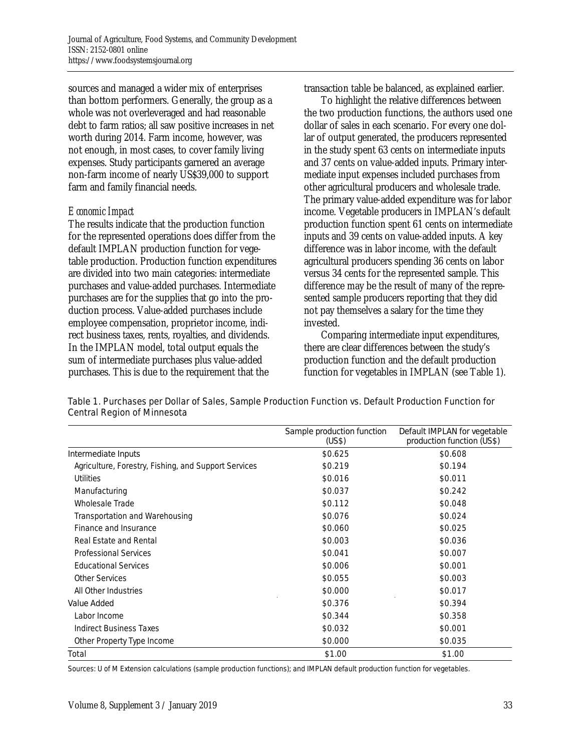sources and managed a wider mix of enterprises than bottom performers. Generally, the group as a whole was not overleveraged and had reasonable debt to farm ratios; all saw positive increases in net worth during 2014. Farm income, however, was not enough, in most cases, to cover family living expenses. Study participants garnered an average non-farm income of nearly US\$39,000 to support farm and family financial needs.

#### *Economic Impact*

The results indicate that the production function for the represented operations does differ from the default IMPLAN production function for vegetable production. Production function expenditures are divided into two main categories: intermediate purchases and value-added purchases. Intermediate purchases are for the supplies that go into the production process. Value-added purchases include employee compensation, proprietor income, indirect business taxes, rents, royalties, and dividends. In the IMPLAN model, total output equals the sum of intermediate purchases plus value-added purchases. This is due to the requirement that the

transaction table be balanced, as explained earlier.

 To highlight the relative differences between the two production functions, the authors used one dollar of sales in each scenario. For every one dollar of output generated, the producers represented in the study spent 63 cents on intermediate inputs and 37 cents on value-added inputs. Primary intermediate input expenses included purchases from other agricultural producers and wholesale trade. The primary value-added expenditure was for labor income. Vegetable producers in IMPLAN's default production function spent 61 cents on intermediate inputs and 39 cents on value-added inputs. A key difference was in labor income, with the default agricultural producers spending 36 cents on labor versus 34 cents for the represented sample. This difference may be the result of many of the represented sample producers reporting that they did not pay themselves a salary for the time they invested.

 Comparing intermediate input expenditures, there are clear differences between the study's production function and the default production function for vegetables in IMPLAN (see Table 1).

|                                                      | Sample production function<br>(US\$) | Default IMPLAN for vegetable<br>production function (US\$) |
|------------------------------------------------------|--------------------------------------|------------------------------------------------------------|
| Intermediate Inputs                                  | \$0.625                              | \$0.608                                                    |
| Agriculture, Forestry, Fishing, and Support Services | \$0.219                              | \$0.194                                                    |
| Utilities                                            | \$0.016                              | \$0.011                                                    |
| Manufacturing                                        | \$0.037                              | \$0.242                                                    |
| Wholesale Trade                                      | \$0.112                              | \$0.048                                                    |
| Transportation and Warehousing                       | \$0.076                              | \$0.024                                                    |
| Finance and Insurance                                | \$0.060                              | \$0.025                                                    |
| Real Estate and Rental                               | \$0.003                              | \$0.036                                                    |
| <b>Professional Services</b>                         | \$0.041                              | \$0.007                                                    |
| <b>Educational Services</b>                          | \$0.006                              | \$0.001                                                    |
| <b>Other Services</b>                                | \$0.055                              | \$0.003                                                    |
| All Other Industries                                 | \$0.000                              | \$0.017                                                    |
| Value Added                                          | \$0.376                              | \$0.394                                                    |
| Labor Income                                         | \$0.344                              | \$0.358                                                    |
| <b>Indirect Business Taxes</b>                       | \$0.032                              | \$0.001                                                    |
| Other Property Type Income                           | \$0.000                              | \$0.035                                                    |
| Total                                                | \$1.00                               | \$1.00                                                     |

Table 1. Purchases per Dollar of Sales, Sample Production Function vs. Default Production Function for Central Region of Minnesota

Sources: U of M Extension calculations (sample production functions); and IMPLAN default production function for vegetables.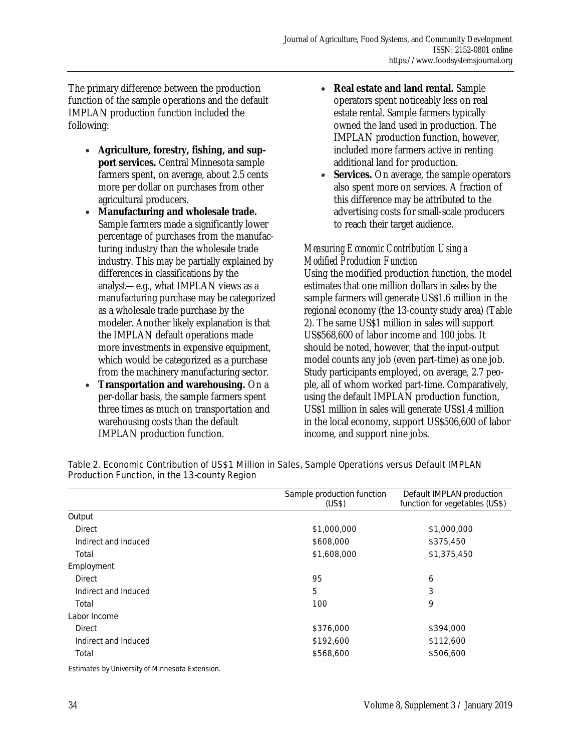The primary difference between the production function of the sample operations and the default IMPLAN production function included the following:

- **Agriculture, forestry, fishing, and support services.** Central Minnesota sample farmers spent, on average, about 2.5 cents more per dollar on purchases from other agricultural producers.
- **Manufacturing and wholesale trade.**  Sample farmers made a significantly lower percentage of purchases from the manufacturing industry than the wholesale trade industry. This may be partially explained by differences in classifications by the analyst—e.g., what IMPLAN views as a manufacturing purchase may be categorized as a wholesale trade purchase by the modeler. Another likely explanation is that the IMPLAN default operations made more investments in expensive equipment, which would be categorized as a purchase from the machinery manufacturing sector.
- **Transportation and warehousing.** On a per-dollar basis, the sample farmers spent three times as much on transportation and warehousing costs than the default IMPLAN production function.
- **Real estate and land rental.** Sample operators spent noticeably less on real estate rental. Sample farmers typically owned the land used in production. The IMPLAN production function, however, included more farmers active in renting additional land for production.
- **Services.** On average, the sample operators also spent more on services. A fraction of this difference may be attributed to the advertising costs for small-scale producers to reach their target audience.

# *Measuring Economic Contribution Using a Modified Production Function*

Using the modified production function, the model estimates that one million dollars in sales by the sample farmers will generate US\$1.6 million in the regional economy (the 13-county study area) (Table 2). The same US\$1 million in sales will support US\$568,600 of labor income and 100 jobs. It should be noted, however, that the input-output model counts any job (even part-time) as one job. Study participants employed, on average, 2.7 people, all of whom worked part-time. Comparatively, using the default IMPLAN production function, US\$1 million in sales will generate US\$1.4 million in the local economy, support US\$506,600 of labor income, and support nine jobs.

|                      | Sample production function<br>(US\$) | Default IMPLAN production<br>function for vegetables (US\$) |
|----------------------|--------------------------------------|-------------------------------------------------------------|
| Output               |                                      |                                                             |
| <b>Direct</b>        | \$1,000,000                          | \$1,000,000                                                 |
| Indirect and Induced | \$608,000                            | \$375,450                                                   |
| Total                | \$1,608,000                          | \$1,375,450                                                 |
| Employment           |                                      |                                                             |
| <b>Direct</b>        | 95                                   | 6                                                           |
| Indirect and Induced | 5                                    | 3                                                           |
| Total                | 100                                  | 9                                                           |
| Labor Income         |                                      |                                                             |
| <b>Direct</b>        | \$376,000                            | \$394,000                                                   |
| Indirect and Induced | \$192,600                            | \$112,600                                                   |
| Total                | \$568,600                            | \$506,600                                                   |

#### Table 2. Economic Contribution of US\$1 Million in Sales, Sample Operations versus Default IMPLAN Production Function, in the 13-county Region

Estimates by University of Minnesota Extension.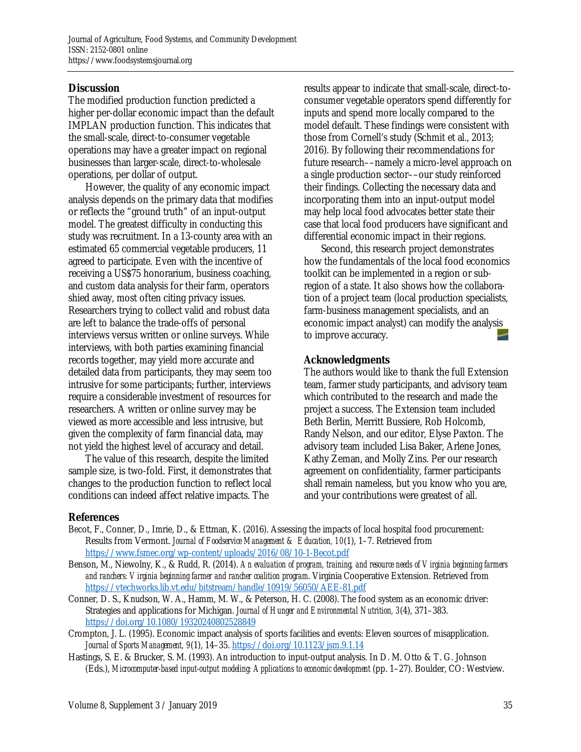# **Discussion**

The modified production function predicted a higher per-dollar economic impact than the default IMPLAN production function. This indicates that the small-scale, direct-to-consumer vegetable operations may have a greater impact on regional businesses than larger-scale, direct-to-wholesale operations, per dollar of output.

 However, the quality of any economic impact analysis depends on the primary data that modifies or reflects the "ground truth" of an input-output model. The greatest difficulty in conducting this study was recruitment. In a 13-county area with an estimated 65 commercial vegetable producers, 11 agreed to participate. Even with the incentive of receiving a US\$75 honorarium, business coaching, and custom data analysis for their farm, operators shied away, most often citing privacy issues. Researchers trying to collect valid and robust data are left to balance the trade-offs of personal interviews versus written or online surveys. While interviews, with both parties examining financial records together, may yield more accurate and detailed data from participants, they may seem too intrusive for some participants; further, interviews require a considerable investment of resources for researchers. A written or online survey may be viewed as more accessible and less intrusive, but given the complexity of farm financial data, may not yield the highest level of accuracy and detail.

 The value of this research, despite the limited sample size, is two-fold. First, it demonstrates that changes to the production function to reflect local conditions can indeed affect relative impacts. The

results appear to indicate that small-scale, direct-toconsumer vegetable operators spend differently for inputs and spend more locally compared to the model default. These findings were consistent with those from Cornell's study (Schmit et al., 2013; 2016). By following their recommendations for future research––namely a micro-level approach on a single production sector––our study reinforced their findings. Collecting the necessary data and incorporating them into an input-output model may help local food advocates better state their case that local food producers have significant and differential economic impact in their regions.

 Second, this research project demonstrates how the fundamentals of the local food economics toolkit can be implemented in a region or subregion of a state. It also shows how the collaboration of a project team (local production specialists, farm-business management specialists, and an economic impact analyst) can modify the analysis to improve accuracy.

# **Acknowledgments**

The authors would like to thank the full Extension team, farmer study participants, and advisory team which contributed to the research and made the project a success. The Extension team included Beth Berlin, Merritt Bussiere, Rob Holcomb, Randy Nelson, and our editor, Elyse Paxton. The advisory team included Lisa Baker, Arlene Jones, Kathy Zeman, and Molly Zins. Per our research agreement on confidentiality, farmer participants shall remain nameless, but you know who you are, and your contributions were greatest of all.

#### **References**

- Becot, F., Conner, D., Imrie, D., & Ettman, K. (2016). Assessing the impacts of local hospital food procurement: Results from Vermont. *Journal of Foodservice Management & Education, 10*(1), 1–7. Retrieved from https://www.fsmec.org/wp-content/uploads/2016/08/10-1-Becot.pdf
- Benson, M., Niewolny, K., & Rudd, R. (2014). *An evaluation of program, training, and resource needs of Virginia beginning farmers and ranchers: Virginia beginning farmer and rancher coalition program*. Virginia Cooperative Extension. Retrieved from https://vtechworks.lib.vt.edu/bitstream/handle/10919/56050/AEE-81.pdf
- Conner, D. S., Knudson, W. A., Hamm, M. W., & Peterson, H. C. (2008). The food system as an economic driver: Strategies and applications for Michigan. *Journal of Hunger and Environmental Nutrition, 3*(4), 371–383. https://doi.org/10.1080/19320240802528849
- Crompton, J. L. (1995). Economic impact analysis of sports facilities and events: Eleven sources of misapplication. *Journal of Sports Management, 9*(1), 14–35. https://doi.org/10.1123/jsm.9.1.14
- Hastings, S. E. & Brucker, S. M. (1993). An introduction to input-output analysis. In D. M. Otto & T. G. Johnson (Eds.), *Microcomputer-based input-output modeling: Applications to economic development* (pp. 1–27). Boulder, CO: Westview.